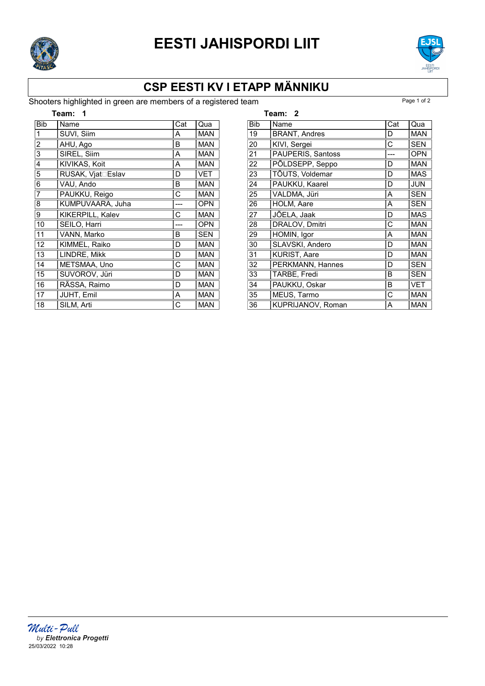

# EESTI JAHISPORDI LIIT



## CSP EESTI KV I ETAPP MÄNNIKU

#### Shooters highlighted in green are members of a registered team Page 1 of 2

| Team:          |                           |     |            |
|----------------|---------------------------|-----|------------|
| <b>Bib</b>     | Name                      | Cat | Qua        |
| 1              | SUVI, Siim                | A   | MAN        |
| $\overline{c}$ | AHU, Ago                  | B   | <b>MAN</b> |
| 3              | SIREL, Siim               | Α   | <b>MAN</b> |
| 4              | KIVIKAS, Koit             | A   | <b>MAN</b> |
| 5              | <b>RUSAK, Vjat</b> □Eslav | D   | <b>VET</b> |
| 6              | VAU, Ando                 | в   | <b>MAN</b> |
| 7              | PAUKKU, Reigo             | C   | <b>MAN</b> |
| 8              | KUMPUVAARA, Juha          |     | <b>OPN</b> |
| 9              | KIKERPILL, Kalev          | С   | <b>MAN</b> |
| 10             | SEILO, Harri              |     | <b>OPN</b> |
| 11             | VANN, Marko               | В   | <b>SEN</b> |
| 12             | KIMMEL, Raiko             | D   | <b>MAN</b> |
| 13             | LINDRE, Mikk              | D   | <b>MAN</b> |
| 14             | METSMAA, Uno              | С   | <b>MAN</b> |
| 15             | SUVOROV, Jüri             | D   | <b>MAN</b> |
| 16             | RÄSSA, Raimo              | D   | <b>MAN</b> |
| 17             | JUHT, Emil                | Α   | <b>MAN</b> |
| 18             | SILM, Arti                | C   | <b>MAN</b> |

|            | Team: 2              |     |            |
|------------|----------------------|-----|------------|
| <b>Bib</b> | Name                 | Cat | Qua        |
| 19         | <b>BRANT, Andres</b> | D   | <b>MAN</b> |
| 20         | KIVI, Sergei         | С   | <b>SEN</b> |
| 21         | PAUPERIS, Santoss    |     | <b>OPN</b> |
| 22         | PÕLDSEPP, Seppo      | D   | <b>MAN</b> |
| 23         | TÕUTS, Voldemar      | D   | <b>MAS</b> |
| 24         | PAUKKU, Kaarel       | D   | <b>JUN</b> |
| 25         | VALDMA, Jüri         | A   | <b>SEN</b> |
| 26         | <b>HOLM, Aare</b>    | A   | <b>SEN</b> |
| 27         | JÕELA, Jaak          | D   | <b>MAS</b> |
| 28         | DRALOV, Dmitri       | С   | <b>MAN</b> |
| 29         | HOMIN, Igor          | Α   | <b>MAN</b> |
| 30         | SLAVSKI, Andero      | D   | <b>MAN</b> |
| 31         | <b>KURIST, Aare</b>  | D   | <b>MAN</b> |
| 32         | PERKMANN, Hannes     | D   | <b>SEN</b> |
| 33         | TARBE, Fredi         | в   | SEN        |
| 34         | PAUKKU, Oskar        | В   | <b>VET</b> |
| 35         | MEUS, Tarmo          | С   | <b>MAN</b> |
| 36         | KUPRIJANOV, Roman    | A   | <b>MAN</b> |

*Multi - Pull*<br>by Elettronica Progetti 25/03/2022 10:28